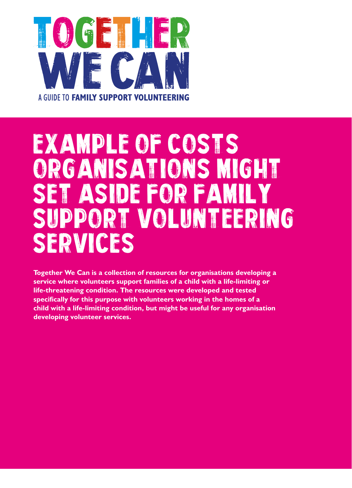

## EXAMPLE OF COSTS ORGANISATIONS MIGHT SET ASIDE FOR FAM SUPPORT VOLUNTEERING SERVICES

**Together We Can is a collection of resources for organisations developing a service where volunteers support families of a child with a life-limiting or life-threatening condition. The resources were developed and tested specifically for this purpose with volunteers working in the homes of a child with a life-limiting condition, but might be useful for any organisation developing volunteer services.**